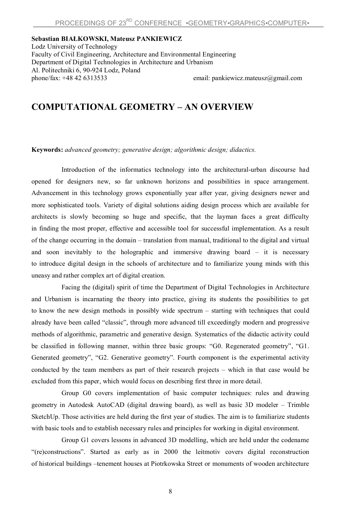## **Sebastian BIAŁKOWSKI, Mateusz PANKIEWICZ**

Lodz University of Technology Faculty of Civil Engineering, Architecture and Environmental Engineering Department of Digital Technologies in Architecture and Urbanism Al. Politechniki 6, 90-924 Lodz, Poland phone/fax: +48 42 6313533 email: pankiewicz.mateusz@gmail.com

## **COMPUTATIONAL GEOMETRY – AN OVERVIEW**

**Keywords:** *advanced geometry; generative design; algorithmic design; didactics.*

Introduction of the informatics technology into the architectural-urban discourse had opened for designers new, so far unknown horizons and possibilities in space arrangement. Advancement in this technology grows exponentially year after year, giving designers newer and more sophisticated tools. Variety of digital solutions aiding design process which are available for architects is slowly becoming so huge and specific, that the layman faces a great difficulty in finding the most proper, effective and accessible tool for successful implementation. As a result of the change occurring in the domain – translation from manual, traditional to the digital and virtual and soon inevitably to the holographic and immersive drawing board – it is necessary to introduce digital design in the schools of architecture and to familiarize young minds with this uneasy and rather complex art of digital creation.

Facing the (digital) spirit of time the Department of Digital Technologies in Architecture and Urbanism is incarnating the theory into practice, giving its students the possibilities to get to know the new design methods in possibly wide spectrum – starting with techniques that could already have been called "classic", through more advanced till exceedingly modern and progressive methods of algorithmic, parametric and generative design. Systematics of the didactic activity could be classified in following manner, within three basic groups: "G0. Regenerated geometry", "G1. Generated geometry", "G2. Generative geometry". Fourth component is the experimental activity conducted by the team members as part of their research projects – which in that case would be excluded from this paper, which would focus on describing first three in more detail.

Group G0 covers implementation of basic computer techniques: rules and drawing geometry in Autodesk AutoCAD (digital drawing board), as well as basic 3D modeler – Trimble SketchUp. Those activities are held during the first year of studies. The aim is to familiarize students with basic tools and to establish necessary rules and principles for working in digital environment.

Group G1 covers lessons in advanced 3D modelling, which are held under the codename "(re)constructions". Started as early as in 2000 the leitmotiv covers digital reconstruction of historical buildings –tenement houses at Piotrkowska Street or monuments of wooden architecture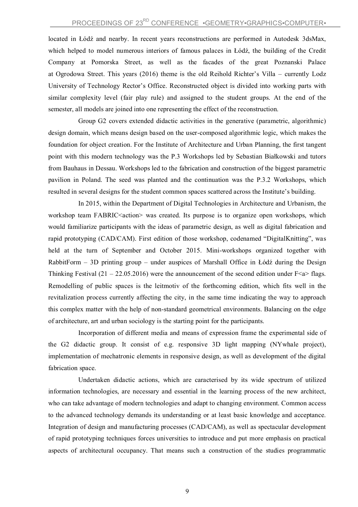located in Łódź and nearby. In recent years reconstructions are performed in Autodesk 3dsMax, which helped to model numerous interiors of famous palaces in Łódź, the building of the Credit Company at Pomorska Street, as well as the facades of the great Poznanski Palace at Ogrodowa Street. This years (2016) theme is the old Reihold Richter's Villa – currently Lodz University of Technology Rector's Office. Reconstructed object is divided into working parts with similar complexity level (fair play rule) and assigned to the student groups. At the end of the semester, all models are joined into one representing the effect of the reconstruction.

Group G2 covers extended didactic activities in the generative (parametric, algorithmic) design domain, which means design based on the user-composed algorithmic logic, which makes the foundation for object creation. For the Institute of Architecture and Urban Planning, the first tangent point with this modern technology was the P.3 Workshops led by Sebastian Białkowski and tutors from Bauhaus in Dessau. Workshops led to the fabrication and construction of the biggest parametric pavilion in Poland. The seed was planted and the continuation was the P.3.2 Workshops, which resulted in several designs for the student common spaces scattered across the Institute's building.

In 2015, within the Department of Digital Technologies in Architecture and Urbanism, the workshop team FABRIC<action> was created. Its purpose is to organize open workshops, which would familiarize participants with the ideas of parametric design, as well as digital fabrication and rapid prototyping (CAD/CAM). First edition of those workshop, codenamed "DigitalKnitting", was held at the turn of September and October 2015. Mini-workshops organized together with RabbitForm – 3D printing group – under auspices of Marshall Office in Łódź during the Design Thinking Festival (21 – 22.05.2016) were the announcement of the second edition under  $F \le a$  flags. Remodelling of public spaces is the leitmotiv of the forthcoming edition, which fits well in the revitalization process currently affecting the city, in the same time indicating the way to approach this complex matter with the help of non-standard geometrical environments. Balancing on the edge of architecture, art and urban sociology is the starting point for the participants.

Incorporation of different media and means of expression frame the experimental side of the G2 didactic group. It consist of e.g. responsive 3D light mapping (NYwhale project), implementation of mechatronic elements in responsive design, as well as development of the digital fabrication space.

Undertaken didactic actions, which are caracterised by its wide spectrum of utilized information technologies, are necessary and essential in the learning process of the new architect, who can take advantage of modern technologies and adapt to changing environment. Common access to the advanced technology demands its understanding or at least basic knowledge and acceptance. Integration of design and manufacturing processes (CAD/CAM), as well as spectacular development of rapid prototyping techniques forces universities to introduce and put more emphasis on practical aspects of architectural occupancy. That means such a construction of the studies programmatic